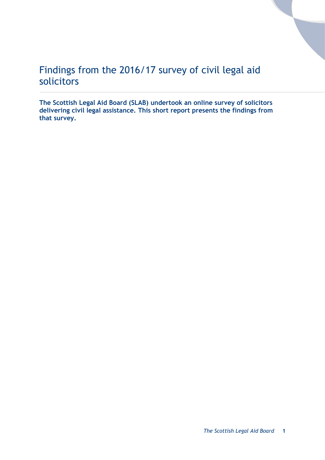# Findings from the 2016/17 survey of civil legal aid solicitors

**The Scottish Legal Aid Board (SLAB) undertook an online survey of solicitors delivering civil legal assistance. This short report presents the findings from that survey.**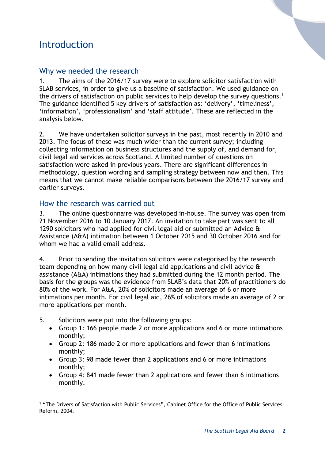# Introduction

## Why we needed the research

1. The aims of the 2016/17 survey were to explore solicitor satisfaction with SLAB services, in order to give us a baseline of satisfaction. We used guidance on the drivers of satisfaction on public services to help develop the survey questions.<sup>1</sup> The guidance identified 5 key drivers of satisfaction as: 'delivery', 'timeliness', 'information', 'professionalism' and 'staff attitude'. These are reflected in the analysis below.

2. We have undertaken solicitor surveys in the past, most recently in 2010 and 2013. The focus of these was much wider than the current survey; including collecting information on business structures and the supply of, and demand for, civil legal aid services across Scotland. A limited number of questions on satisfaction were asked in previous years. There are significant differences in methodology, question wording and sampling strategy between now and then. This means that we cannot make reliable comparisons between the 2016/17 survey and earlier surveys.

## How the research was carried out

3. The online questionnaire was developed in-house. The survey was open from 21 November 2016 to 10 January 2017. An invitation to take part was sent to all 1290 solicitors who had applied for civil legal aid or submitted an Advice & Assistance (A&A) intimation between 1 October 2015 and 30 October 2016 and for whom we had a valid email address.

4. Prior to sending the invitation solicitors were categorised by the research team depending on how many civil legal aid applications and civil advice & assistance (A&A) intimations they had submitted during the 12 month period. The basis for the groups was the evidence from SLAB's data that 20% of practitioners do 80% of the work. For A&A, 20% of solicitors made an average of 6 or more intimations per month. For civil legal aid, 26% of solicitors made an average of 2 or more applications per month.

- 5. Solicitors were put into the following groups:
	- Group 1: 166 people made 2 or more applications and 6 or more intimations monthly;
	- Group 2: 186 made 2 or more applications and fewer than 6 intimations monthly;
	- Group 3: 98 made fewer than 2 applications and 6 or more intimations monthly;
	- Group 4: 841 made fewer than 2 applications and fewer than 6 intimations monthly.

<sup>-</sup><sup>1</sup> "The Drivers of Satisfaction with Public Services", Cabinet Office for the Office of Public Services Reform. 2004.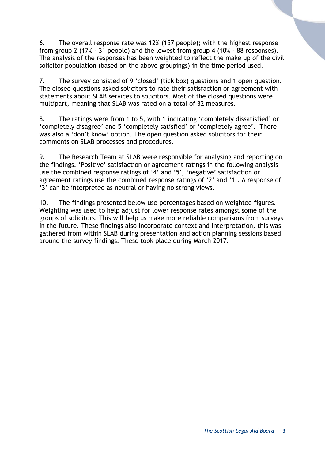6. The overall response rate was 12% (157 people); with the highest response from group 2 (17% - 31 people) and the lowest from group 4 (10% - 88 responses). The analysis of the responses has been weighted to reflect the make up of the civil solicitor population (based on the above groupings) in the time period used.

7. The survey consisted of 9 'closed' (tick box) questions and 1 open question. The closed questions asked solicitors to rate their satisfaction or agreement with statements about SLAB services to solicitors. Most of the closed questions were multipart, meaning that SLAB was rated on a total of 32 measures.

8. The ratings were from 1 to 5, with 1 indicating 'completely dissatisfied' or 'completely disagree' and 5 'completely satisfied' or 'completely agree'. There was also a 'don't know' option. The open question asked solicitors for their comments on SLAB processes and procedures.

9. The Research Team at SLAB were responsible for analysing and reporting on the findings. 'Positive' satisfaction or agreement ratings in the following analysis use the combined response ratings of '4' and '5', 'negative' satisfaction or agreement ratings use the combined response ratings of '2' and '1'. A response of '3' can be interpreted as neutral or having no strong views.

10. The findings presented below use percentages based on weighted figures. Weighting was used to help adjust for lower response rates amongst some of the groups of solicitors. This will help us make more reliable comparisons from surveys in the future. These findings also incorporate context and interpretation, this was gathered from within SLAB during presentation and action planning sessions based around the survey findings. These took place during March 2017.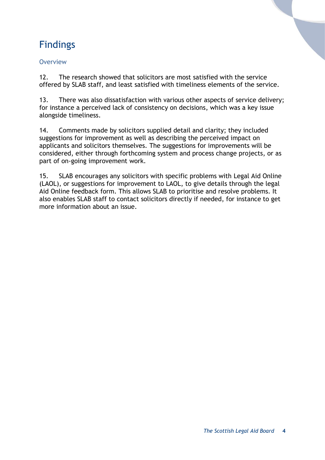# Findings

### **Overview**

12. The research showed that solicitors are most satisfied with the service offered by SLAB staff, and least satisfied with timeliness elements of the service.

13. There was also dissatisfaction with various other aspects of service delivery; for instance a perceived lack of consistency on decisions, which was a key issue alongside timeliness.

14. Comments made by solicitors supplied detail and clarity; they included suggestions for improvement as well as describing the perceived impact on applicants and solicitors themselves. The suggestions for improvements will be considered, either through forthcoming system and process change projects, or as part of on-going improvement work.

15. SLAB encourages any solicitors with specific problems with Legal Aid Online (LAOL), or suggestions for improvement to LAOL, to give details through the legal Aid Online feedback form. This allows SLAB to prioritise and resolve problems. It also enables SLAB staff to contact solicitors directly if needed, for instance to get more information about an issue.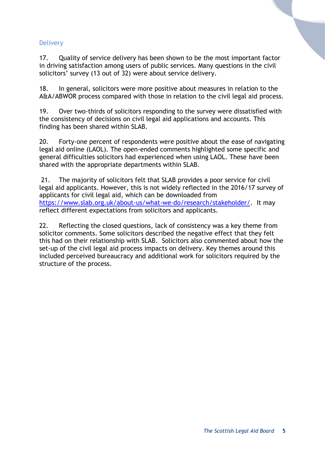#### **Delivery**

17. Quality of service delivery has been shown to be the most important factor in driving satisfaction among users of public services. Many questions in the civil solicitors' survey (13 out of 32) were about service delivery.

18. In general, solicitors were more positive about measures in relation to the A&A/ABWOR process compared with those in relation to the civil legal aid process.

19. Over two-thirds of solicitors responding to the survey were dissatisfied with the consistency of decisions on civil legal aid applications and accounts. This finding has been shared within SLAB.

20. Forty-one percent of respondents were positive about the ease of navigating legal aid online (LAOL). The open-ended comments highlighted some specific and general difficulties solicitors had experienced when using LAOL. These have been shared with the appropriate departments within SLAB.

21. The majority of solicitors felt that SLAB provides a poor service for civil legal aid applicants. However, this is not widely reflected in the 2016/17 survey of applicants for civil legal aid, which can be downloaded from [https://www.slab.org.uk/about-us/what-we-do/research/stakeholder/.](https://www.slab.org.uk/about-us/what-we-do/research/stakeholder/) It may reflect different expectations from solicitors and applicants.

22. Reflecting the closed questions, lack of consistency was a key theme from solicitor comments. Some solicitors described the negative effect that they felt this had on their relationship with SLAB. Solicitors also commented about how the set-up of the civil legal aid process impacts on delivery. Key themes around this included perceived bureaucracy and additional work for solicitors required by the structure of the process.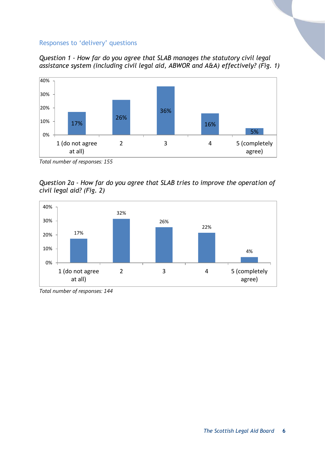#### Responses to 'delivery' questions





*Total number of responses: 155*

*Question 2a - How far do you agree that SLAB tries to improve the operation of civil legal aid? (Fig. 2)*



*Total number of responses: 144*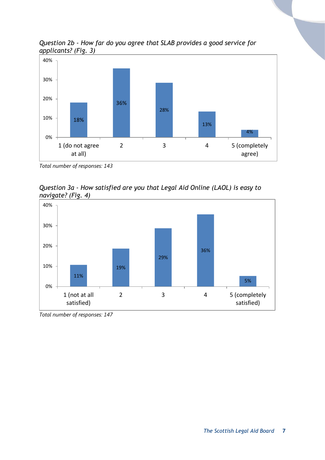*Question 2b - How far do you agree that SLAB provides a good service for applicants? (Fig. 3)*



*Total number of responses: 143*





*Total number of responses: 147*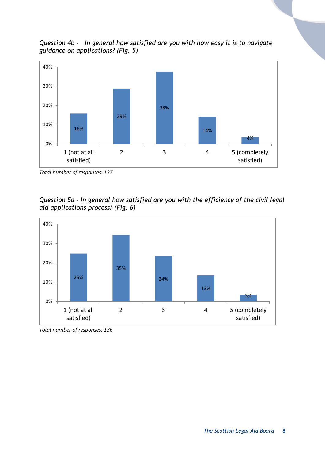*Question 4b - In general how satisfied are you with how easy it is to navigate guidance on applications? (Fig. 5)*



*Total number of responses: 137*

*Question 5a - In general how satisfied are you with the efficiency of the civil legal aid applications process? (Fig. 6)*



*Total number of responses: 136*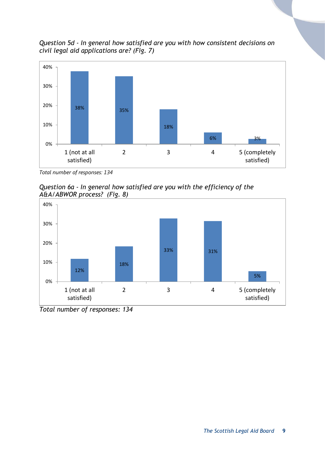*Question 5d - In general how satisfied are you with how consistent decisions on civil legal aid applications are? (Fig. 7)*



*Total number of responses: 134*





*Total number of responses: 134*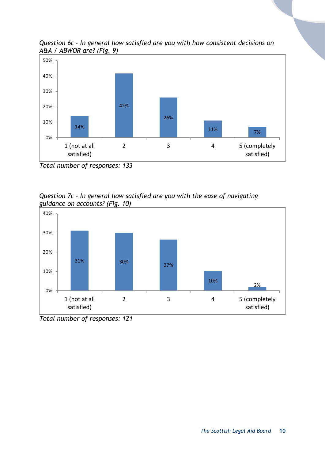

*Question 6c - In general how satisfied are you with how consistent decisions on A&A / ABWOR are? (Fig. 9)*

*Question 7c - In general how satisfied are you with the ease of navigating guidance on accounts? (Fig. 10)*



*Total number of responses: 121*

*Total number of responses: 133*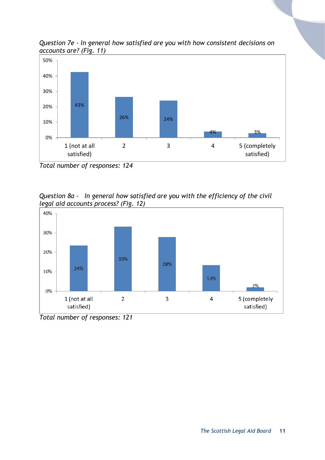*Question 7e - In general how satisfied are you with how consistent decisions on accounts are? (Fig. 11)*



*Total number of responses: 124*





*Total number of responses: 121*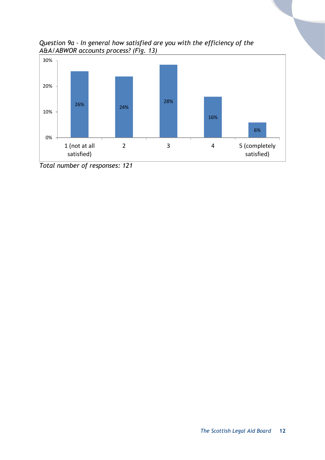



*Total number of responses: 121*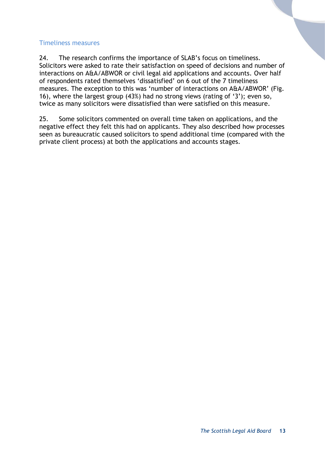#### Timeliness measures

24. The research confirms the importance of SLAB's focus on timeliness. Solicitors were asked to rate their satisfaction on speed of decisions and number of interactions on A&A/ABWOR or civil legal aid applications and accounts. Over half of respondents rated themselves 'dissatisfied' on 6 out of the 7 timeliness measures. The exception to this was 'number of interactions on A&A/ABWOR' (Fig. 16), where the largest group (43%) had no strong views (rating of '3'); even so, twice as many solicitors were dissatisfied than were satisfied on this measure.

25. Some solicitors commented on overall time taken on applications, and the negative effect they felt this had on applicants. They also described how processes seen as bureaucratic caused solicitors to spend additional time (compared with the private client process) at both the applications and accounts stages.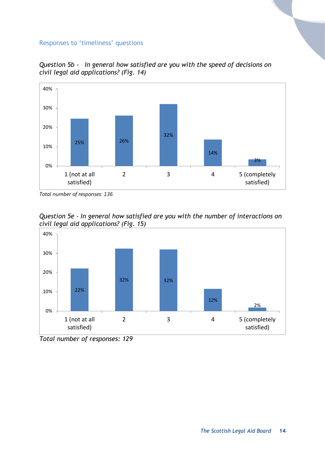#### Responses to 'timeliness' questions



*Question 5b - In general how satisfied are you with the speed of decisions on civil legal aid applications? (Fig. 14)*

*Total number of responses: 136*



*Question 5e - In general how satisfied are you with the number of interactions on civil legal aid applications? (Fig. 15)*

*Total number of responses: 129*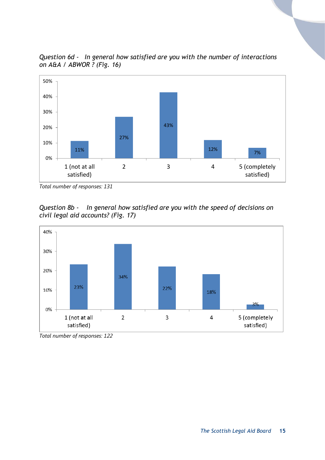

*Question 6d - In general how satisfied are you with the number of interactions on A&A / ABWOR ? (Fig. 16)*

*Question 8b - In general how satisfied are you with the speed of decisions on civil legal aid accounts? (Fig. 17)*



*Total number of responses: 122*

*Total number of responses: 131*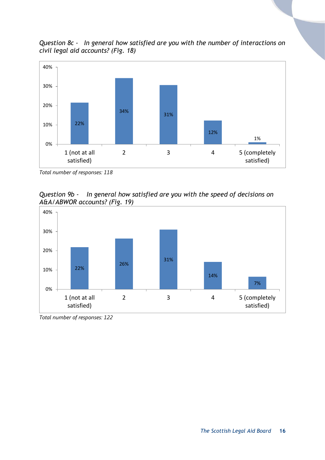*Question 8c - In general how satisfied are you with the number of interactions on civil legal aid accounts? (Fig. 18)*



*Total number of responses: 118*





*Total number of responses: 122*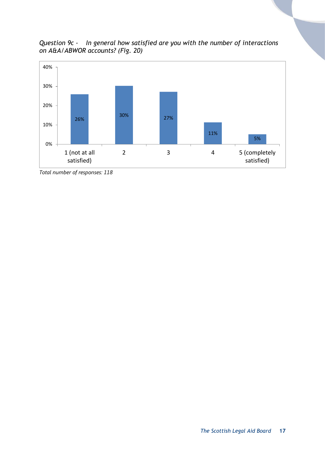*Question 9c - In general how satisfied are you with the number of interactions on A&A/ABWOR accounts? (Fig. 20)*



*Total number of responses: 118*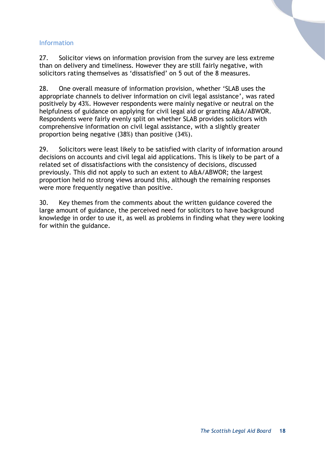#### Information

27. Solicitor views on information provision from the survey are less extreme than on delivery and timeliness. However they are still fairly negative, with solicitors rating themselves as 'dissatisfied' on 5 out of the 8 measures.

28. One overall measure of information provision, whether 'SLAB uses the appropriate channels to deliver information on civil legal assistance', was rated positively by 43%. However respondents were mainly negative or neutral on the helpfulness of guidance on applying for civil legal aid or granting A&A/ABWOR. Respondents were fairly evenly split on whether SLAB provides solicitors with comprehensive information on civil legal assistance, with a slightly greater proportion being negative (38%) than positive (34%).

29. Solicitors were least likely to be satisfied with clarity of information around decisions on accounts and civil legal aid applications. This is likely to be part of a related set of dissatisfactions with the consistency of decisions, discussed previously. This did not apply to such an extent to A&A/ABWOR; the largest proportion held no strong views around this, although the remaining responses were more frequently negative than positive.

30. Key themes from the comments about the written guidance covered the large amount of guidance, the perceived need for solicitors to have background knowledge in order to use it, as well as problems in finding what they were looking for within the guidance.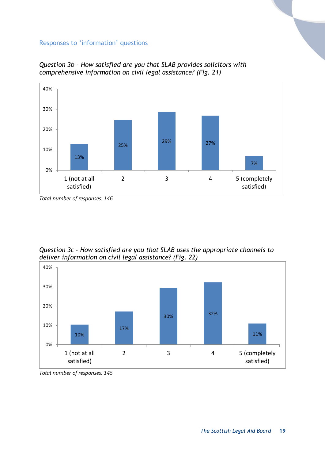#### Responses to 'information' questions



*Question 3b - How satisfied are you that SLAB provides solicitors with comprehensive information on civil legal assistance? (Fig. 21)*

*Question 3c - How satisfied are you that SLAB uses the appropriate channels to deliver information on civil legal assistance? (Fig. 22)*



*Total number of responses: 145*

*Total number of responses: 146*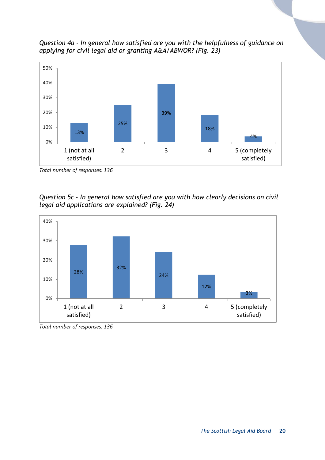*Question 4a - In general how satisfied are you with the helpfulness of guidance on applying for civil legal aid or granting A&A/ABWOR? (Fig. 23)*



*Total number of responses: 136*





*Total number of responses: 136*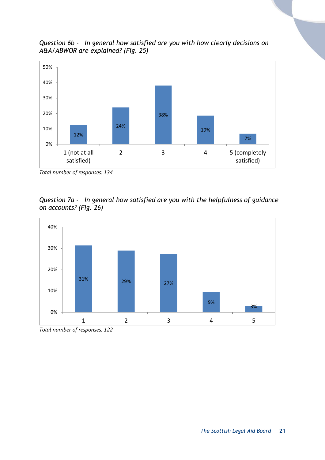

19%

2 3 4 5 (completely

7%

satisfied)

*Question 6b - In general how satisfied are you with how clearly decisions on A&A/ABWOR are explained? (Fig. 25)*

*Total number of responses: 134*

12%

1 (not at all satisfied)

0%

10%

24%

*Question 7a - In general how satisfied are you with the helpfulness of guidance on accounts? (Fig. 26)*



*Total number of responses: 122*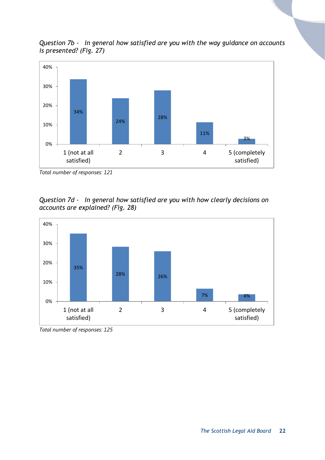*Question 7b - In general how satisfied are you with the way guidance on accounts is presented? (Fig. 27)*



*Total number of responses: 121*





*Total number of responses: 125*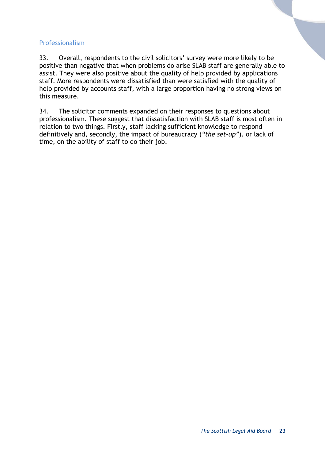#### Professionalism

33. Overall, respondents to the civil solicitors' survey were more likely to be positive than negative that when problems do arise SLAB staff are generally able to assist. They were also positive about the quality of help provided by applications staff. More respondents were dissatisfied than were satisfied with the quality of help provided by accounts staff, with a large proportion having no strong views on this measure.

34. The solicitor comments expanded on their responses to questions about professionalism. These suggest that dissatisfaction with SLAB staff is most often in relation to two things. Firstly, staff lacking sufficient knowledge to respond definitively and, secondly, the impact of bureaucracy (*"the set-up"*)*,* or lack of time, on the ability of staff to do their job.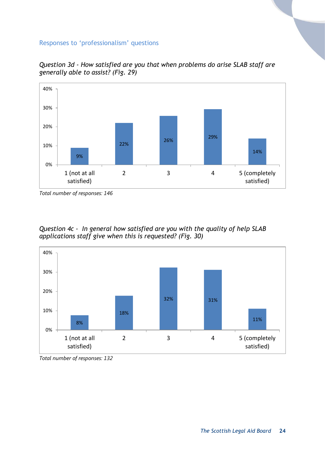#### Responses to 'professionalism' questions



*Question 3d - How satisfied are you that when problems do arise SLAB staff are generally able to assist? (Fig. 29)*

*Total number of responses: 146*

*Question 4c - In general how satisfied are you with the quality of help SLAB applications staff give when this is requested? (Fig. 30)*



*Total number of responses: 132*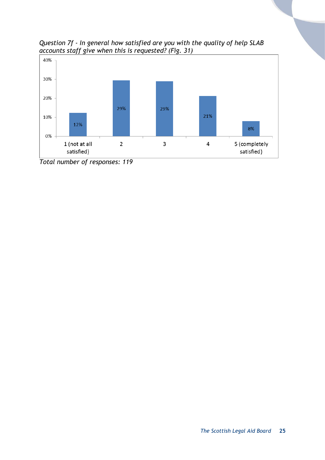

*Question 7f - In general how satisfied are you with the quality of help SLAB accounts staff give when this is requested? (Fig. 31)*

*Total number of responses: 119*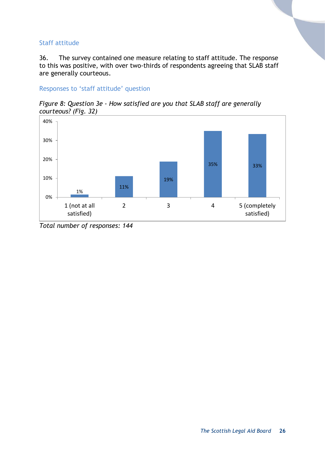#### Staff attitude

36. The survey contained one measure relating to staff attitude. The response to this was positive, with over two-thirds of respondents agreeing that SLAB staff are generally courteous.

Responses to 'staff attitude' question

*Figure 8: Question 3e - How satisfied are you that SLAB staff are generally courteous? (Fig. 32)*



*Total number of responses: 144*